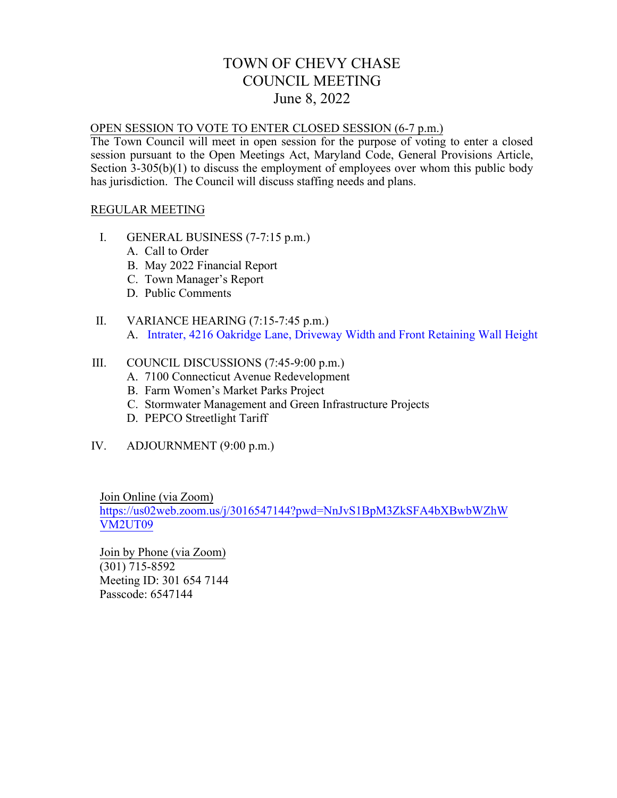# TOWN OF CHEVY CHASE COUNCIL MEETING June 8, 2022

### OPEN SESSION TO VOTE TO ENTER CLOSED SESSION (6-7 p.m.)

The Town Council will meet in open session for the purpose of voting to enter a closed session pursuant to the Open Meetings Act, Maryland Code, General Provisions Article, Section 3-305(b)(1) to discuss the employment of employees over whom this public body has jurisdiction. The Council will discuss staffing needs and plans.

### REGULAR MEETING

- I. GENERAL BUSINESS (7-7:15 p.m.)
	- A. Call to Order
	- B. May [2022 Financial Report](#page--1-0)
	- C. [Town Manager's Report](#page--1-0)
	- D. Public Comments

#### II. VARIANCE HEARING (7:15-7:45 p.m.) A. In[trater, 4216 Oakridge Lane, Driveway Width](#page-1-0) and Front Retaining Wall Height

#### III. COUNCIL DISCUSSIONS (7:45-9:00 p.m.)

- A. 7100 Connecticut Avenue Redevelopment
- B. Farm Women's Market Parks Project
- C. [Stormwater Management](#page--1-0) and Green Infrastructure Projects
- D. PEPCO Streetlight Tariff
- IV. ADJOURNMENT (9:00 p.m.)

Join Online (via Zoom) https://us02web.zoom.us/j/3016547144?pwd=NnJvS1BpM3ZkSFA4bXBwbWZhW VM2UT09

Join by Phone (via Zoom) (301) 715-8592 Me[eting ID: 301 654 7144](https://us02web.zoom.us/j/3016547144?pwd=NnJvS1BpM3ZkSFA4bXBwbWZhWVM2UT09) [Passcode: 6547](https://us02web.zoom.us/j/3016547144?pwd=NnJvS1BpM3ZkSFA4bXBwbWZhWVM2UT09)144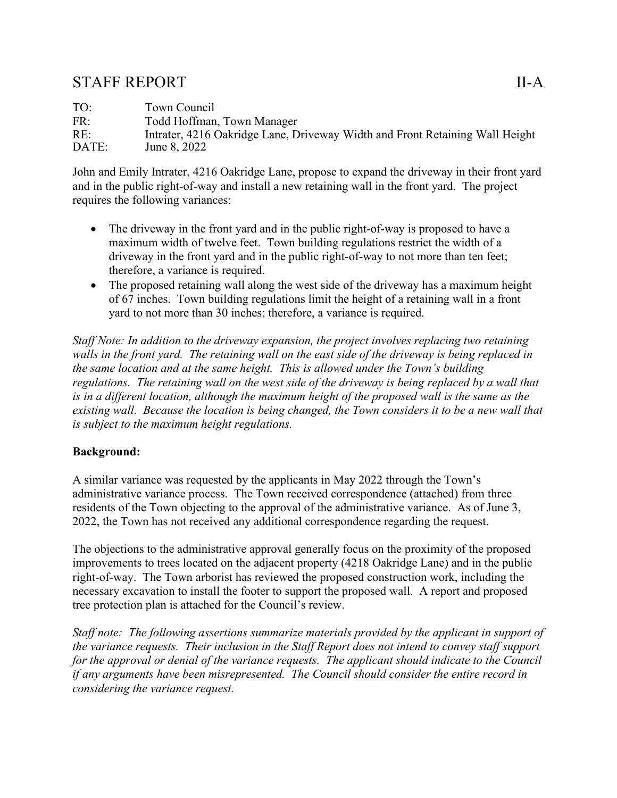# <span id="page-1-0"></span>STAFF REPORT II-A

TO: Town Council FR: Todd Hoffman, Town Manager RE: Intrater, 4216 Oakridge Lane, Driveway Width and Front Retaining Wall Height DATE: June 8, 2022

John and Emily Intrater, 4216 Oakridge Lane, propose to expand the driveway in their front yard and in the public right-of-way and install a new retaining wall in the front yard. The project requires the following variances:

- The driveway in the front yard and in the public right-of-way is proposed to have a maximum width of twelve feet. Town building regulations restrict the width of a driveway in the front yard and in the public right-of-way to not more than ten feet; therefore, a variance is required.
- The proposed retaining wall along the west side of the driveway has a maximum height of 67 inches. Town building regulations limit the height of a retaining wall in a front yard to not more than 30 inches; therefore, a variance is required.

*Staff Note: In addition to the driveway expansion, the project involves replacing two retaining walls in the front yard. The retaining wall on the east side of the driveway is being replaced in the same location and at the same height. This is allowed under the Town's building regulations. The retaining wall on the west side of the driveway is being replaced by a wall that is in a different location, although the maximum height of the proposed wall is the same as the existing wall. Because the location is being changed, the Town considers it to be a new wall that is subject to the maximum height regulations.* 

## **Background:**

A similar variance was requested by the applicants in May 2022 through the Town's administrative variance process. The Town received correspondence (attached) from three residents of the Town objecting to the approval of the administrative variance. As of June 3, 2022, the Town has not received any additional correspondence regarding the request.

The objections to the administrative approval generally focus on the proximity of the proposed improvements to trees located on the adjacent property (4218 Oakridge Lane) and in the public right-of-way. The Town arborist has reviewed the proposed construction work, including the necessary excavation to install the footer to support the proposed wall. A report and proposed tree protection plan is attached for the Council's review.

*Staff note: The following assertions summarize materials provided by the applicant in support of the variance requests. Their inclusion in the Staff Report does not intend to convey staff support for the approval or denial of the variance requests. The applicant should indicate to the Council if any arguments have been misrepresented. The Council should consider the entire record in considering the variance request.*